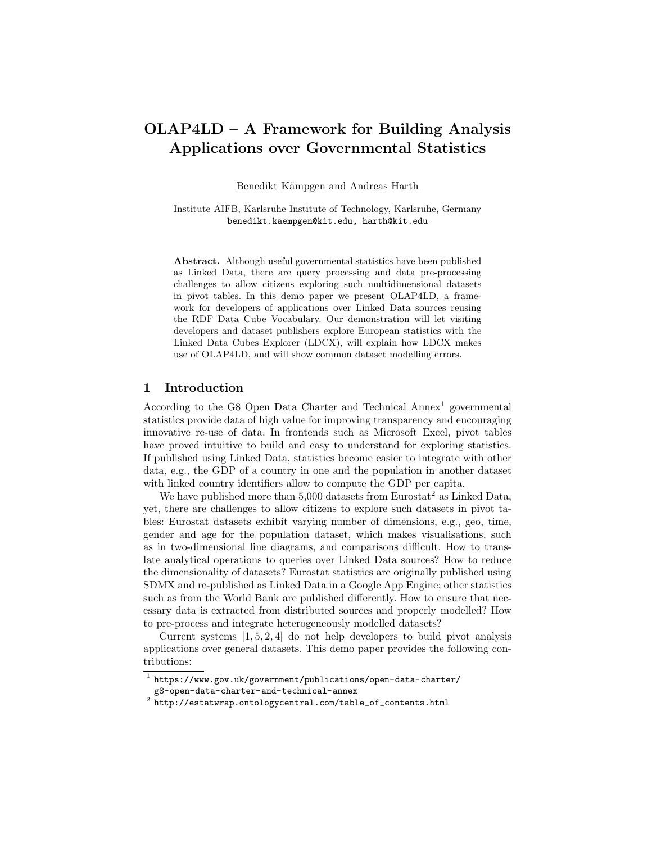# OLAP4LD – A Framework for Building Analysis Applications over Governmental Statistics

Benedikt Kämpgen and Andreas Harth

Institute AIFB, Karlsruhe Institute of Technology, Karlsruhe, Germany benedikt.kaempgen@kit.edu, harth@kit.edu

Abstract. Although useful governmental statistics have been published as Linked Data, there are query processing and data pre-processing challenges to allow citizens exploring such multidimensional datasets in pivot tables. In this demo paper we present OLAP4LD, a framework for developers of applications over Linked Data sources reusing the RDF Data Cube Vocabulary. Our demonstration will let visiting developers and dataset publishers explore European statistics with the Linked Data Cubes Explorer (LDCX), will explain how LDCX makes use of OLAP4LD, and will show common dataset modelling errors.

#### 1 Introduction

According to the G8 Open Data Charter and Technical Annex<sup>1</sup> governmental statistics provide data of high value for improving transparency and encouraging innovative re-use of data. In frontends such as Microsoft Excel, pivot tables have proved intuitive to build and easy to understand for exploring statistics. If published using Linked Data, statistics become easier to integrate with other data, e.g., the GDP of a country in one and the population in another dataset with linked country identifiers allow to compute the GDP per capita.

We have published more than 5,000 datasets from Eurostat<sup>2</sup> as Linked Data, yet, there are challenges to allow citizens to explore such datasets in pivot tables: Eurostat datasets exhibit varying number of dimensions, e.g., geo, time, gender and age for the population dataset, which makes visualisations, such as in two-dimensional line diagrams, and comparisons difficult. How to translate analytical operations to queries over Linked Data sources? How to reduce the dimensionality of datasets? Eurostat statistics are originally published using SDMX and re-published as Linked Data in a Google App Engine; other statistics such as from the World Bank are published differently. How to ensure that necessary data is extracted from distributed sources and properly modelled? How to pre-process and integrate heterogeneously modelled datasets?

Current systems  $[1, 5, 2, 4]$  do not help developers to build pivot analysis applications over general datasets. This demo paper provides the following contributions:

<sup>1</sup> https://www.gov.uk/government/publications/open-data-charter/

g8-open-data-charter-and-technical-annex

 $^{\rm 2}$  http://estatwrap.ontologycentral.com/table\_of\_contents.html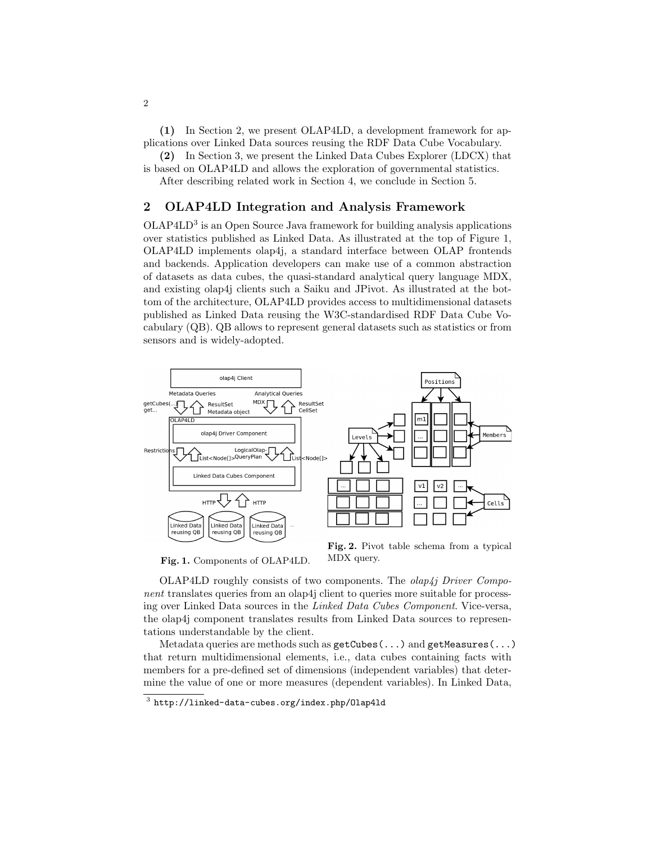(1) In Section 2, we present OLAP4LD, a development framework for applications over Linked Data sources reusing the RDF Data Cube Vocabulary.

(2) In Section 3, we present the Linked Data Cubes Explorer (LDCX) that is based on OLAP4LD and allows the exploration of governmental statistics.

After describing related work in Section 4, we conclude in Section 5.

## 2 OLAP4LD Integration and Analysis Framework

OLAP4LD<sup>3</sup> is an Open Source Java framework for building analysis applications over statistics published as Linked Data. As illustrated at the top of Figure 1, OLAP4LD implements olap4j, a standard interface between OLAP frontends and backends. Application developers can make use of a common abstraction of datasets as data cubes, the quasi-standard analytical query language MDX, and existing olap4j clients such a Saiku and JPivot. As illustrated at the bottom of the architecture, OLAP4LD provides access to multidimensional datasets published as Linked Data reusing the W3C-standardised RDF Data Cube Vocabulary (QB). QB allows to represent general datasets such as statistics or from sensors and is widely-adopted.



Fig. 1. Components of OLAP4LD.

Fig. 2. Pivot table schema from a typical MDX query.

OLAP4LD roughly consists of two components. The  $olap4j$  Driver Component translates queries from an olap4j client to queries more suitable for processing over Linked Data sources in the Linked Data Cubes Component. Vice-versa, the olap4j component translates results from Linked Data sources to representations understandable by the client.

Metadata queries are methods such as getCubes(...) and getMeasures(...) that return multidimensional elements, i.e., data cubes containing facts with members for a pre-defined set of dimensions (independent variables) that determine the value of one or more measures (dependent variables). In Linked Data,

 $^3$  http://linked-data-cubes.org/index.php/01ap41d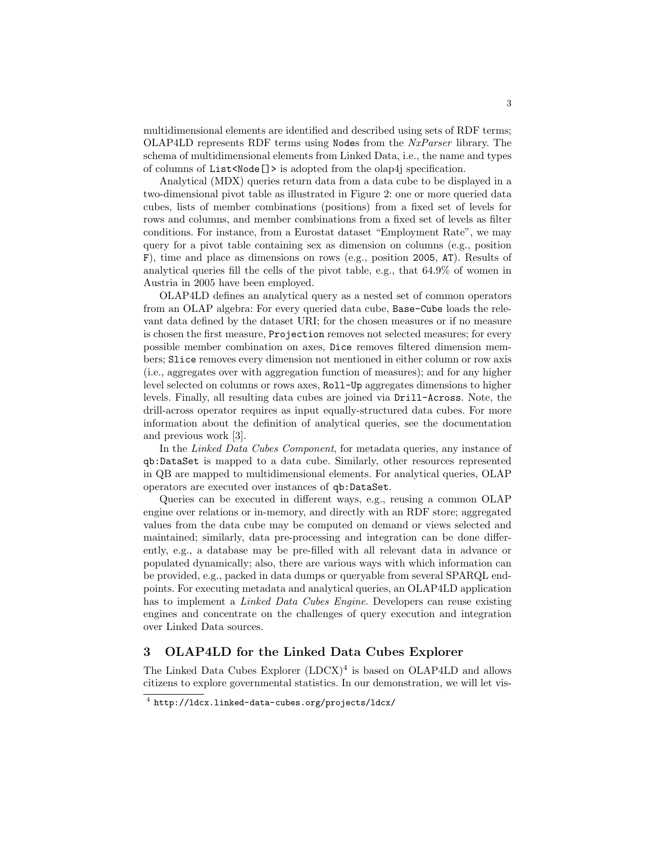multidimensional elements are identified and described using sets of RDF terms; OLAP4LD represents RDF terms using Nodes from the NxParser library. The schema of multidimensional elements from Linked Data, i.e., the name and types of columns of List<Node[]> is adopted from the olap4j specification.

Analytical (MDX) queries return data from a data cube to be displayed in a two-dimensional pivot table as illustrated in Figure 2: one or more queried data cubes, lists of member combinations (positions) from a fixed set of levels for rows and columns, and member combinations from a fixed set of levels as filter conditions. For instance, from a Eurostat dataset "Employment Rate", we may query for a pivot table containing sex as dimension on columns (e.g., position F), time and place as dimensions on rows (e.g., position 2005, AT). Results of analytical queries fill the cells of the pivot table, e.g., that 64.9% of women in Austria in 2005 have been employed.

OLAP4LD defines an analytical query as a nested set of common operators from an OLAP algebra: For every queried data cube, Base-Cube loads the relevant data defined by the dataset URI; for the chosen measures or if no measure is chosen the first measure, Projection removes not selected measures; for every possible member combination on axes, Dice removes filtered dimension members; Slice removes every dimension not mentioned in either column or row axis (i.e., aggregates over with aggregation function of measures); and for any higher level selected on columns or rows axes, Roll-Up aggregates dimensions to higher levels. Finally, all resulting data cubes are joined via Drill-Across. Note, the drill-across operator requires as input equally-structured data cubes. For more information about the definition of analytical queries, see the documentation and previous work [3].

In the Linked Data Cubes Component, for metadata queries, any instance of qb:DataSet is mapped to a data cube. Similarly, other resources represented in QB are mapped to multidimensional elements. For analytical queries, OLAP operators are executed over instances of qb:DataSet.

Queries can be executed in different ways, e.g., reusing a common OLAP engine over relations or in-memory, and directly with an RDF store; aggregated values from the data cube may be computed on demand or views selected and maintained; similarly, data pre-processing and integration can be done differently, e.g., a database may be pre-filled with all relevant data in advance or populated dynamically; also, there are various ways with which information can be provided, e.g., packed in data dumps or queryable from several SPARQL endpoints. For executing metadata and analytical queries, an OLAP4LD application has to implement a *Linked Data Cubes Engine*. Developers can reuse existing engines and concentrate on the challenges of query execution and integration over Linked Data sources.

## 3 OLAP4LD for the Linked Data Cubes Explorer

The Linked Data Cubes Explorer  $(LDCX)^4$  is based on OLAP4LD and allows citizens to explore governmental statistics. In our demonstration, we will let vis-

<sup>4</sup> http://ldcx.linked-data-cubes.org/projects/ldcx/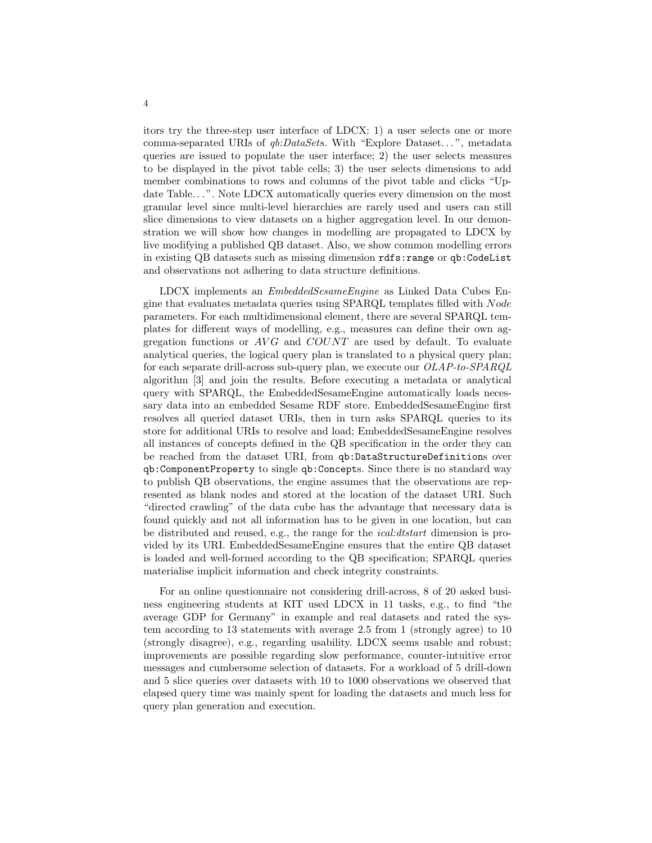itors try the three-step user interface of LDCX: 1) a user selects one or more comma-separated URIs of  $qb:DataSets$ . With "Explore Dataset...", metadata queries are issued to populate the user interface; 2) the user selects measures to be displayed in the pivot table cells; 3) the user selects dimensions to add member combinations to rows and columns of the pivot table and clicks "Update Table...". Note LDCX automatically queries every dimension on the most granular level since multi-level hierarchies are rarely used and users can still slice dimensions to view datasets on a higher aggregation level. In our demonstration we will show how changes in modelling are propagated to LDCX by live modifying a published QB dataset. Also, we show common modelling errors in existing QB datasets such as missing dimension rdfs:range or qb:CodeList and observations not adhering to data structure definitions.

LDCX implements an EmbeddedSesameEngine as Linked Data Cubes Engine that evaluates metadata queries using SPARQL templates filled with Node parameters. For each multidimensional element, there are several SPARQL templates for different ways of modelling, e.g., measures can define their own aggregation functions or  $AVG$  and  $COUNT$  are used by default. To evaluate analytical queries, the logical query plan is translated to a physical query plan; for each separate drill-across sub-query plan, we execute our OLAP-to-SPARQL algorithm [3] and join the results. Before executing a metadata or analytical query with SPARQL, the EmbeddedSesameEngine automatically loads necessary data into an embedded Sesame RDF store. EmbeddedSesameEngine first resolves all queried dataset URIs, then in turn asks SPARQL queries to its store for additional URIs to resolve and load; EmbeddedSesameEngine resolves all instances of concepts defined in the QB specification in the order they can be reached from the dataset URI, from qb:DataStructureDefinitions over qb:ComponentProperty to single qb:Concepts. Since there is no standard way to publish QB observations, the engine assumes that the observations are represented as blank nodes and stored at the location of the dataset URI. Such "directed crawling" of the data cube has the advantage that necessary data is found quickly and not all information has to be given in one location, but can be distributed and reused, e.g., the range for the ical:dtstart dimension is provided by its URI. EmbeddedSesameEngine ensures that the entire QB dataset is loaded and well-formed according to the QB specification; SPARQL queries materialise implicit information and check integrity constraints.

For an online questionnaire not considering drill-across, 8 of 20 asked business engineering students at KIT used LDCX in 11 tasks, e.g., to find "the average GDP for Germany" in example and real datasets and rated the system according to 13 statements with average 2.5 from 1 (strongly agree) to 10 (strongly disagree), e.g., regarding usability. LDCX seems usable and robust; improvements are possible regarding slow performance, counter-intuitive error messages and cumbersome selection of datasets. For a workload of 5 drill-down and 5 slice queries over datasets with 10 to 1000 observations we observed that elapsed query time was mainly spent for loading the datasets and much less for query plan generation and execution.